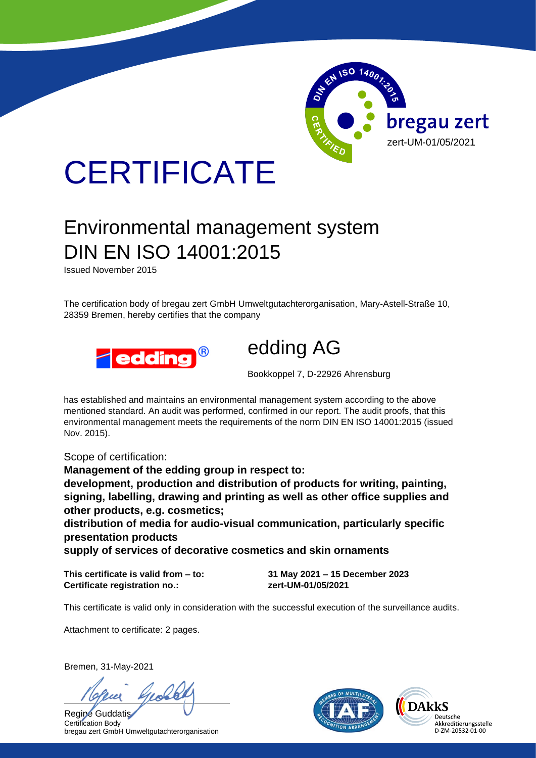

# **CERTIFICATE**

## Environmental management system DIN EN ISO 14001:2015

Issued November 2015

The certification body of bregau zert GmbH Umweltgutachterorganisation, Mary-Astell-Straße 10, 28359 Bremen, hereby certifies that the company





Bookkoppel 7, D-22926 Ahrensburg

has established and maintains an environmental management system according to the above mentioned standard. An audit was performed, confirmed in our report. The audit proofs, that this environmental management meets the requirements of the norm DIN EN ISO 14001:2015 (issued Nov. 2015).

Scope of certification:

**Management of the edding group in respect to: development, production and distribution of products for writing, painting, signing, labelling, drawing and printing as well as other office supplies and other products, e.g. cosmetics;**

**distribution of media for audio-visual communication, particularly specific presentation products**

**supply of services of decorative cosmetics and skin ornaments**

**This certificate is valid from – to: 31 May 2021 – 15 December 2023 Certificate registration no.: zert-UM-01/05/2021**

This certificate is valid only in consideration with the successful execution of the surveillance audits.

Attachment to certificate: 2 pages.

Bremen, 31-May-2021

Regine Guddatis Certification Body bregau zert GmbH Umweltgutachterorganisation



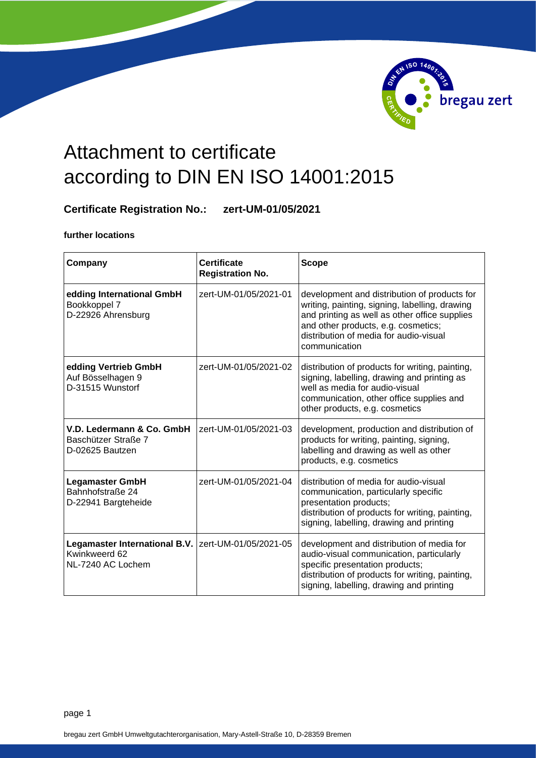

### Attachment to certificate according to DIN EN ISO 14001:2015

### **Certificate Registration No.: zert-UM-01/05/2021**

**further locations**

| Company                                                                                     | <b>Certificate</b><br><b>Registration No.</b> | <b>Scope</b>                                                                                                                                                                                                                                      |
|---------------------------------------------------------------------------------------------|-----------------------------------------------|---------------------------------------------------------------------------------------------------------------------------------------------------------------------------------------------------------------------------------------------------|
| edding International GmbH<br>Bookkoppel 7<br>D-22926 Ahrensburg                             | zert-UM-01/05/2021-01                         | development and distribution of products for<br>writing, painting, signing, labelling, drawing<br>and printing as well as other office supplies<br>and other products, e.g. cosmetics;<br>distribution of media for audio-visual<br>communication |
| edding Vertrieb GmbH<br>Auf Bösselhagen 9<br>D-31515 Wunstorf                               | zert-UM-01/05/2021-02                         | distribution of products for writing, painting,<br>signing, labelling, drawing and printing as<br>well as media for audio-visual<br>communication, other office supplies and<br>other products, e.g. cosmetics                                    |
| V.D. Ledermann & Co. GmbH<br>Baschützer Straße 7<br>D-02625 Bautzen                         | zert-UM-01/05/2021-03                         | development, production and distribution of<br>products for writing, painting, signing,<br>labelling and drawing as well as other<br>products, e.g. cosmetics                                                                                     |
| <b>Legamaster GmbH</b><br>Bahnhofstraße 24<br>D-22941 Bargteheide                           | zert-UM-01/05/2021-04                         | distribution of media for audio-visual<br>communication, particularly specific<br>presentation products;<br>distribution of products for writing, painting,<br>signing, labelling, drawing and printing                                           |
| Legamaster International B.V.   zert-UM-01/05/2021-05<br>Kwinkweerd 62<br>NL-7240 AC Lochem |                                               | development and distribution of media for<br>audio-visual communication, particularly<br>specific presentation products;<br>distribution of products for writing, painting,<br>signing, labelling, drawing and printing                           |